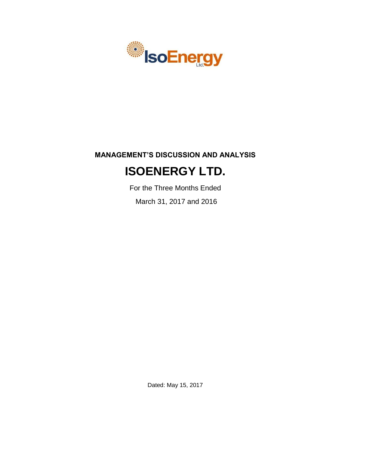

# **MANAGEMENT'S DISCUSSION AND ANALYSIS**

# **ISOENERGY LTD.**

For the Three Months Ended

March 31, 2017 and 2016

Dated: May 15, 2017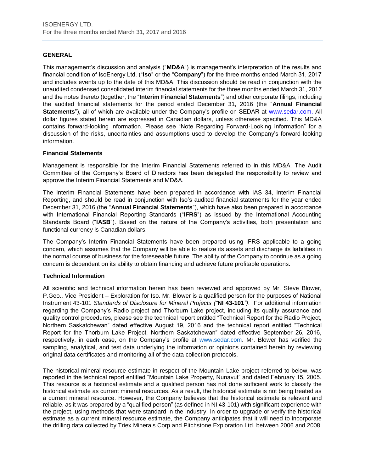#### **GENERAL**

This management's discussion and analysis ("**MD&A**") is management's interpretation of the results and financial condition of IsoEnergy Ltd. ("**Iso**" or the "**Company**") for the three months ended March 31, 2017 and includes events up to the date of this MD&A. This discussion should be read in conjunction with the unaudited condensed consolidated interim financial statements for the three months ended March 31, 2017 and the notes thereto (together, the "**Interim Financial Statements**") and other corporate filings, including the audited financial statements for the period ended December 31, 2016 (the "**Annual Financial Statements**"), all of which are available under the Company's profile on SEDAR at www.sedar.com. All dollar figures stated herein are expressed in Canadian dollars, unless otherwise specified. This MD&A contains forward-looking information. Please see "Note Regarding Forward-Looking Information" for a discussion of the risks, uncertainties and assumptions used to develop the Company's forward-looking information.

#### **Financial Statements**

Management is responsible for the Interim Financial Statements referred to in this MD&A. The Audit Committee of the Company's Board of Directors has been delegated the responsibility to review and approve the Interim Financial Statements and MD&A.

The Interim Financial Statements have been prepared in accordance with IAS 34, Interim Financial Reporting, and should be read in conjunction with Iso's audited financial statements for the year ended December 31, 2016 (the "**Annual Financial Statements**"), which have also been prepared in accordance with International Financial Reporting Standards ("**IFRS**") as issued by the International Accounting Standards Board ("**IASB**"). Based on the nature of the Company's activities, both presentation and functional currency is Canadian dollars.

The Company's Interim Financial Statements have been prepared using IFRS applicable to a going concern, which assumes that the Company will be able to realize its assets and discharge its liabilities in the normal course of business for the foreseeable future. The ability of the Company to continue as a going concern is dependent on its ability to obtain financing and achieve future profitable operations.

#### **Technical Information**

All scientific and technical information herein has been reviewed and approved by Mr. Steve Blower, P.Geo., Vice President – Exploration for Iso. Mr. Blower is a qualified person for the purposes of National Instrument 43-101 *Standards of Disclosure for Mineral Projects ("***NI 43-101***")*. For additional information regarding the Company's Radio project and Thorburn Lake project, including its quality assurance and quality control procedures, please see the technical report entitled "Technical Report for the Radio Project, Northern Saskatchewan" dated effective August 19, 2016 and the technical report entitled "Technical Report for the Thorburn Lake Project, Northern Saskatchewan" dated effective September 26, 2016, respectively, in each case, on the Company's profile at [www.sedar.com.](http://www.sedar.com/) Mr. Blower has verified the sampling, analytical, and test data underlying the information or opinions contained herein by reviewing original data certificates and monitoring all of the data collection protocols.

The historical mineral resource estimate in respect of the Mountain Lake project referred to below, was reported in the technical report entitled "Mountain Lake Property, Nunavut" and dated February 15, 2005. This resource is a historical estimate and a qualified person has not done sufficient work to classify the historical estimate as current mineral resources. As a result, the historical estimate is not being treated as a current mineral resource. However, the Company believes that the historical estimate is relevant and reliable, as it was prepared by a "qualified person" (as defined in NI 43-101) with significant experience with the project, using methods that were standard in the industry. In order to upgrade or verify the historical estimate as a current mineral resource estimate, the Company anticipates that it will need to incorporate the drilling data collected by Triex Minerals Corp and Pitchstone Exploration Ltd. between 2006 and 2008.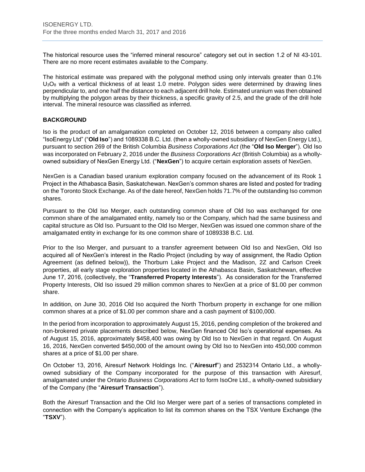The historical resource uses the "inferred mineral resource" category set out in section 1.2 of NI 43-101. There are no more recent estimates available to the Company.

The historical estimate was prepared with the polygonal method using only intervals greater than 0.1%  $U_3O_8$  with a vertical thickness of at least 1.0 metre. Polygon sides were determined by drawing lines perpendicular to, and one half the distance to each adjacent drill hole. Estimated uranium was then obtained by multiplying the polygon areas by their thickness, a specific gravity of 2.5, and the grade of the drill hole interval. The mineral resource was classified as inferred.

# **BACKGROUND**

Iso is the product of an amalgamation completed on October 12, 2016 between a company also called "IsoEnergy Ltd" ("**Old Iso**") and 1089338 B.C. Ltd. (then a wholly-owned subsidiary of NexGen Energy Ltd.), pursuant to section 269 of the British Columbia *Business Corporations Act* (the "**Old Iso Merger**"). Old Iso was incorporated on February 2, 2016 under the *Business Corporations Act* (British Columbia) as a whollyowned subsidiary of NexGen Energy Ltd. ("**NexGen**") to acquire certain exploration assets of NexGen.

NexGen is a Canadian based uranium exploration company focused on the advancement of its Rook 1 Project in the Athabasca Basin, Saskatchewan. NexGen's common shares are listed and posted for trading on the Toronto Stock Exchange. As of the date hereof, NexGen holds 71.7% of the outstanding Iso common shares.

Pursuant to the Old Iso Merger, each outstanding common share of Old Iso was exchanged for one common share of the amalgamated entity, namely Iso or the Company, which had the same business and capital structure as Old Iso. Pursuant to the Old Iso Merger, NexGen was issued one common share of the amalgamated entity in exchange for its one common share of 1089338 B.C. Ltd.

Prior to the Iso Merger, and pursuant to a transfer agreement between Old Iso and NexGen, Old Iso acquired all of NexGen's interest in the Radio Project (including by way of assignment, the Radio Option Agreement (as defined below)), the Thorburn Lake Project and the Madison, 2Z and Carlson Creek properties, all early stage exploration properties located in the Athabasca Basin, Saskatchewan, effective June 17, 2016, (collectively, the "**Transferred Property Interests**"). As consideration for the Transferred Property Interests, Old Iso issued 29 million common shares to NexGen at a price of \$1.00 per common share.

In addition, on June 30, 2016 Old Iso acquired the North Thorburn property in exchange for one million common shares at a price of \$1.00 per common share and a cash payment of \$100,000.

In the period from incorporation to approximately August 15, 2016, pending completion of the brokered and non-brokered private placements described below, NexGen financed Old Iso's operational expenses. As of August 15, 2016, approximately \$458,400 was owing by Old Iso to NexGen in that regard. On August 16, 2016, NexGen converted \$450,000 of the amount owing by Old Iso to NexGen into 450,000 common shares at a price of \$1.00 per share.

On October 13, 2016, Airesurf Network Holdings Inc. ("**Airesurf**") and 2532314 Ontario Ltd., a whollyowned subsidiary of the Company incorporated for the purpose of this transaction with Airesurf, amalgamated under the Ontario *Business Corporations Act* to form IsoOre Ltd., a wholly-owned subsidiary of the Company (the "**Airesurf Transaction**").

Both the Airesurf Transaction and the Old Iso Merger were part of a series of transactions completed in connection with the Company's application to list its common shares on the TSX Venture Exchange (the "**TSXV**").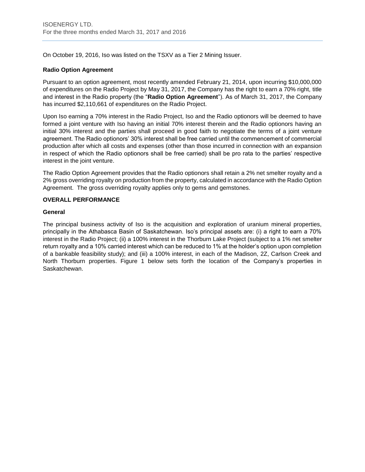On October 19, 2016, Iso was listed on the TSXV as a Tier 2 Mining Issuer.

#### **Radio Option Agreement**

Pursuant to an option agreement, most recently amended February 21, 2014, upon incurring \$10,000,000 of expenditures on the Radio Project by May 31, 2017, the Company has the right to earn a 70% right, title and interest in the Radio property (the "**Radio Option Agreement**"). As of March 31, 2017, the Company has incurred \$2,110,661 of expenditures on the Radio Project.

Upon Iso earning a 70% interest in the Radio Project, Iso and the Radio optionors will be deemed to have formed a joint venture with Iso having an initial 70% interest therein and the Radio optionors having an initial 30% interest and the parties shall proceed in good faith to negotiate the terms of a joint venture agreement. The Radio optionors' 30% interest shall be free carried until the commencement of commercial production after which all costs and expenses (other than those incurred in connection with an expansion in respect of which the Radio optionors shall be free carried) shall be pro rata to the parties' respective interest in the joint venture.

The Radio Option Agreement provides that the Radio optionors shall retain a 2% net smelter royalty and a 2% gross overriding royalty on production from the property, calculated in accordance with the Radio Option Agreement. The gross overriding royalty applies only to gems and gemstones.

#### **OVERALL PERFORMANCE**

#### **General**

The principal business activity of Iso is the acquisition and exploration of uranium mineral properties, principally in the Athabasca Basin of Saskatchewan. Iso's principal assets are: (i) a right to earn a 70% interest in the Radio Project; (ii) a 100% interest in the Thorburn Lake Project (subject to a 1% net smelter return royalty and a 10% carried interest which can be reduced to 1% at the holder's option upon completion of a bankable feasibility study); and (iii) a 100% interest, in each of the Madison, 2Z, Carlson Creek and North Thorburn properties. Figure 1 below sets forth the location of the Company's properties in Saskatchewan.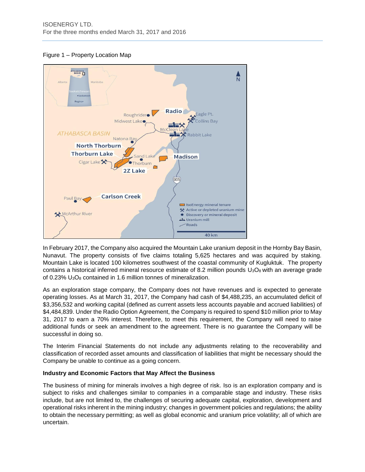Figure 1 – Property Location Map



In February 2017, the Company also acquired the Mountain Lake uranium deposit in the Hornby Bay Basin, Nunavut. The property consists of five claims totaling 5,625 hectares and was acquired by staking. Mountain Lake is located 100 kilometres southwest of the coastal community of Kugluktuk. The property contains a historical inferred mineral resource estimate of 8.2 million pounds  $U_3O_8$  with an average grade of 0.23% U3O<sup>8</sup> contained in 1.6 million tonnes of mineralization.

As an exploration stage company, the Company does not have revenues and is expected to generate operating losses. As at March 31, 2017, the Company had cash of \$4,488,235, an accumulated deficit of \$3,356,532 and working capital (defined as current assets less accounts payable and accrued liabilities) of \$4,484,839. Under the Radio Option Agreement, the Company is required to spend \$10 million prior to May 31, 2017 to earn a 70% interest. Therefore, to meet this requirement, the Company will need to raise additional funds or seek an amendment to the agreement. There is no guarantee the Company will be successful in doing so.

The Interim Financial Statements do not include any adjustments relating to the recoverability and classification of recorded asset amounts and classification of liabilities that might be necessary should the Company be unable to continue as a going concern.

# **Industry and Economic Factors that May Affect the Business**

The business of mining for minerals involves a high degree of risk. Iso is an exploration company and is subject to risks and challenges similar to companies in a comparable stage and industry. These risks include, but are not limited to, the challenges of securing adequate capital, exploration, development and operational risks inherent in the mining industry; changes in government policies and regulations; the ability to obtain the necessary permitting; as well as global economic and uranium price volatility; all of which are uncertain.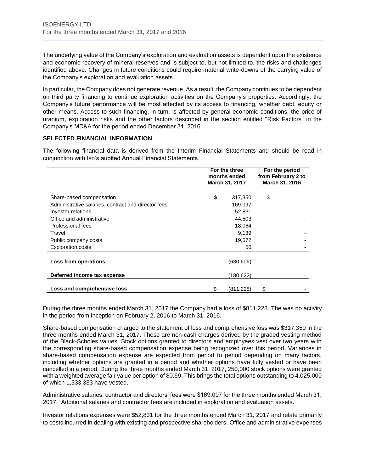The underlying value of the Company's exploration and evaluation assets is dependent upon the existence and economic recovery of mineral reserves and is subject to, but not limited to, the risks and challenges identified above. Changes in future conditions could require material write-downs of the carrying value of the Company's exploration and evaluation assets.

In particular, the Company does not generate revenue. As a result, the Company continues to be dependent on third party financing to continue exploration activities on the Company's properties. Accordingly, the Company's future performance will be most affected by its access to financing, whether debt, equity or other means. Access to such financing, in turn, is affected by general economic conditions, the price of uranium, exploration risks and the other factors described in the section entitled "Risk Factors" in the Company's MD&A for the period ended December 31, 2016.

#### **SELECTED FINANCIAL INFORMATION**

The following financial data is derived from the Interim Financial Statements and should be read in conjunction with Iso's audited Annual Financial Statements.

|                                                     |    | For the three<br>months ended<br>March 31, 2017 | For the period<br>from February 2 to<br>March 31, 2016 |  |  |
|-----------------------------------------------------|----|-------------------------------------------------|--------------------------------------------------------|--|--|
| Share-based compensation                            | \$ | 317,350                                         | \$                                                     |  |  |
| Administrative salaries, contract and director fees |    | 169,097                                         |                                                        |  |  |
| Investor relations                                  |    | 52,831                                          |                                                        |  |  |
| Office and administrative                           |    | 44,503                                          |                                                        |  |  |
| Professional fees                                   |    | 18,064                                          |                                                        |  |  |
| Travel                                              |    | 9,139                                           |                                                        |  |  |
| Public company costs                                |    | 19,572                                          |                                                        |  |  |
| <b>Exploration costs</b>                            |    | 50                                              |                                                        |  |  |
| Loss from operations                                |    | (630,606)                                       |                                                        |  |  |
| Deferred income tax expense                         |    | (180,622)                                       |                                                        |  |  |
| Loss and comprehensive loss                         | S  | (811,228)                                       | S                                                      |  |  |

During the three months ended March 31, 2017 the Company had a loss of \$811,228. The was no activity in the period from inception on February 2, 2016 to March 31, 2016.

Share-based compensation charged to the statement of loss and comprehensive loss was \$317,350 in the three months ended March 31, 2017. These are non-cash charges derived by the graded vesting method of the Black-Scholes values. Stock options granted to directors and employees vest over two years with the corresponding share-based compensation expense being recognized over this period. Variances in share-based compensation expense are expected from period to period depending on many factors, including whether options are granted in a period and whether options have fully vested or have been cancelled in a period. During the three months ended March 31, 2017, 250,000 stock options were granted with a weighted average fair value per option of \$0.69. This brings the total options outstanding to 4,025,000 of which 1,333,333 have vested.

Administrative salaries, contractor and directors' fees were \$169,097 for the three months ended March 31, 2017. Additional salaries and contractor fees are included in exploration and evaluation assets.

Investor relations expenses were \$52,831 for the three months ended March 31, 2017 and relate primarily to costs incurred in dealing with existing and prospective shareholders. Office and administrative expenses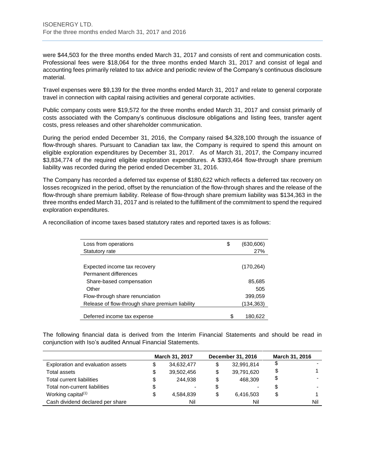were \$44,503 for the three months ended March 31, 2017 and consists of rent and communication costs. Professional fees were \$18,064 for the three months ended March 31, 2017 and consist of legal and accounting fees primarily related to tax advice and periodic review of the Company's continuous disclosure material.

Travel expenses were \$9,139 for the three months ended March 31, 2017 and relate to general corporate travel in connection with capital raising activities and general corporate activities.

Public company costs were \$19,572 for the three months ended March 31, 2017 and consist primarily of costs associated with the Company's continuous disclosure obligations and listing fees, transfer agent costs, press releases and other shareholder communication.

During the period ended December 31, 2016, the Company raised \$4,328,100 through the issuance of flow-through shares. Pursuant to Canadian tax law, the Company is required to spend this amount on eligible exploration expenditures by December 31, 2017. As of March 31, 2017, the Company incurred \$3,834,774 of the required eligible exploration expenditures. A \$393,464 flow-through share premium liability was recorded during the period ended December 31, 2016.

The Company has recorded a deferred tax expense of \$180,622 which reflects a deferred tax recovery on losses recognized in the period, offset by the renunciation of the flow-through shares and the release of the flow-through share premium liability. Release of flow-through share premium liability was \$134,363 in the three months ended March 31, 2017 and is related to the fulfillment of the commitment to spend the required exploration expenditures.

A reconciliation of income taxes based statutory rates and reported taxes is as follows:

| Loss from operations                            | \$<br>(630, 606) |
|-------------------------------------------------|------------------|
| Statutory rate                                  | 27%              |
|                                                 |                  |
| Expected income tax recovery                    | (170, 264)       |
| Permanent differences                           |                  |
| Share-based compensation                        | 85,685           |
| Other                                           | 505              |
| Flow-through share renunciation                 | 399,059          |
| Release of flow-through share premium liability | (134,363)        |
|                                                 |                  |
| Deferred income tax expense                     | 180,622          |

The following financial data is derived from the Interim Financial Statements and should be read in conjunction with Iso's audited Annual Financial Statements.

|                                   | March 31, 2017 |            |    | December 31, 2016 | March 31, 2016 |     |  |
|-----------------------------------|----------------|------------|----|-------------------|----------------|-----|--|
| Exploration and evaluation assets | S              | 34,632,477 | \$ | 32,991,814        | \$             |     |  |
| Total assets                      | \$             | 39,502,456 | \$ | 39,791,620        | \$             |     |  |
| Total current liabilities         | S              | 244.938    |    | 468.309           | \$             |     |  |
| Total non-current liabilities     | S              |            | \$ |                   | \$             |     |  |
| Working capital <sup>(1)</sup>    | \$             | 4.584.839  |    | 6,416,503         | \$             |     |  |
| Cash dividend declared per share  |                | Nil        |    | Nil               |                | Nil |  |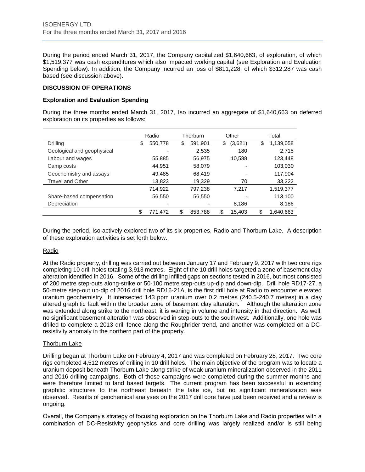During the period ended March 31, 2017, the Company capitalized \$1,640,663, of exploration, of which \$1,519,377 was cash expenditures which also impacted working capital (see Exploration and Evaluation Spending below). In addition, the Company incurred an loss of \$811,228, of which \$312,287 was cash based (see discussion above).

#### **DISCUSSION OF OPERATIONS**

#### **Exploration and Evaluation Spending**

During the three months ended March 31, 2017, Iso incurred an aggregate of \$1,640,663 on deferred exploration on its properties as follows:

|                            | Radio            |        | Thorburn |               | Other  | Total |           |
|----------------------------|------------------|--------|----------|---------------|--------|-------|-----------|
| <b>Drilling</b>            | \$<br>550,778    |        | 591,901  | \$<br>(3,621) |        | \$    | 1,139,058 |
| Geological and geophysical |                  |        | 2,535    | 180           |        |       | 2,715     |
| Labour and wages           | 56,975<br>55,885 |        |          | 10,588        |        |       | 123,448   |
| Camp costs                 | 44,951<br>58,079 |        |          |               |        |       | 103,030   |
| Geochemistry and assays    | 49,485           | 68,419 |          |               | ۰      |       | 117,904   |
| <b>Travel and Other</b>    | 13,823           | 19,329 |          |               | 70     |       | 33,222    |
|                            | 714,922          |        | 797,238  |               | 7.217  |       | 1,519,377 |
| Share-based compensation   | 56,550           |        | 56,550   |               |        |       | 113,100   |
| Depreciation               | -                |        |          |               | 8,186  |       | 8,186     |
|                            | \$<br>771.472    | \$     | 853,788  | \$            | 15,403 | \$    | 1,640,663 |

During the period, Iso actively explored two of its six properties, Radio and Thorburn Lake. A description of these exploration activities is set forth below.

#### Radio

At the Radio property, drilling was carried out between January 17 and February 9, 2017 with two core rigs completing 10 drill holes totaling 3,913 metres. Eight of the 10 drill holes targeted a zone of basement clay alteration identified in 2016. Some of the drilling infilled gaps on sections tested in 2016, but most consisted of 200 metre step-outs along-strike or 50-100 metre step-outs up-dip and down-dip. Drill hole RD17-27, a 50-metre step-out up-dip of 2016 drill hole RD16-21A, is the first drill hole at Radio to encounter elevated uranium geochemistry. It intersected 143 ppm uranium over 0.2 metres (240.5-240.7 metres) in a clay altered graphitic fault within the broader zone of basement clay alteration. Although the alteration zone was extended along strike to the northeast, it is waning in volume and intensity in that direction. As well, no significant basement alteration was observed in step-outs to the southwest. Additionally, one hole was drilled to complete a 2013 drill fence along the Roughrider trend, and another was completed on a DCresistivity anomaly in the northern part of the property.

#### Thorburn Lake

Drilling began at Thorburn Lake on February 4, 2017 and was completed on February 28, 2017. Two core rigs completed 4,512 metres of drilling in 10 drill holes. The main objective of the program was to locate a uranium deposit beneath Thorburn Lake along strike of weak uranium mineralization observed in the 2011 and 2016 drilling campaigns. Both of those campaigns were completed during the summer months and were therefore limited to land based targets. The current program has been successful in extending graphitic structures to the northeast beneath the lake ice, but no significant mineralization was observed. Results of geochemical analyses on the 2017 drill core have just been received and a review is ongoing.

Overall, the Company's strategy of focusing exploration on the Thorburn Lake and Radio properties with a combination of DC-Resistivity geophysics and core drilling was largely realized and/or is still being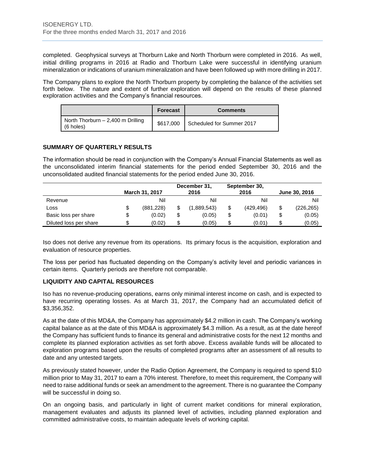completed. Geophysical surveys at Thorburn Lake and North Thorburn were completed in 2016. As well, initial drilling programs in 2016 at Radio and Thorburn Lake were successful in identifying uranium mineralization or indications of uranium mineralization and have been followed up with more drilling in 2017.

The Company plans to explore the North Thorburn property by completing the balance of the activities set forth below. The nature and extent of further exploration will depend on the results of these planned exploration activities and the Company's financial resources.

|                                                 | <b>Forecast</b> | <b>Comments</b>           |
|-------------------------------------------------|-----------------|---------------------------|
| North Thorburn $-2,400$ m Drilling<br>(6 holes) | \$617,000       | Scheduled for Summer 2017 |

# **SUMMARY OF QUARTERLY RESULTS**

The information should be read in conjunction with the Company's Annual Financial Statements as well as the unconsolidated interim financial statements for the period ended September 30, 2016 and the unconsolidated audited financial statements for the period ended June 30, 2016.

|                        | March 31, 2017  | December 31,<br>2016 | September 30,<br>2016 | June 30, 2016    |
|------------------------|-----------------|----------------------|-----------------------|------------------|
| Revenue                | Nil             | Nil                  | Nil                   | Nil              |
| Loss                   | \$<br>(881.228) | \$<br>(1,889,543)    | \$<br>(429.496)       | \$<br>(226, 265) |
| Basic loss per share   | \$<br>(0.02)    | \$<br>(0.05)         | \$<br>(0.01)          | \$<br>(0.05)     |
| Diluted loss per share | \$<br>(0.02)    | \$<br>(0.05)         | \$<br>(0.01)          | (0.05)           |

Iso does not derive any revenue from its operations. Its primary focus is the acquisition, exploration and evaluation of resource properties.

The loss per period has fluctuated depending on the Company's activity level and periodic variances in certain items. Quarterly periods are therefore not comparable.

#### **LIQUIDITY AND CAPITAL RESOURCES**

Iso has no revenue-producing operations, earns only minimal interest income on cash, and is expected to have recurring operating losses. As at March 31, 2017, the Company had an accumulated deficit of \$3,356,352.

As at the date of this MD&A, the Company has approximately \$4.2 million in cash. The Company's working capital balance as at the date of this MD&A is approximately \$4.3 million. As a result, as at the date hereof the Company has sufficient funds to finance its general and administrative costs for the next 12 months and complete its planned exploration activities as set forth above. Excess available funds will be allocated to exploration programs based upon the results of completed programs after an assessment of all results to date and any untested targets.

As previously stated however, under the Radio Option Agreement, the Company is required to spend \$10 million prior to May 31, 2017 to earn a 70% interest. Therefore, to meet this requirement, the Company will need to raise additional funds or seek an amendment to the agreement. There is no guarantee the Company will be successful in doing so.

On an ongoing basis, and particularly in light of current market conditions for mineral exploration, management evaluates and adjusts its planned level of activities, including planned exploration and committed administrative costs, to maintain adequate levels of working capital.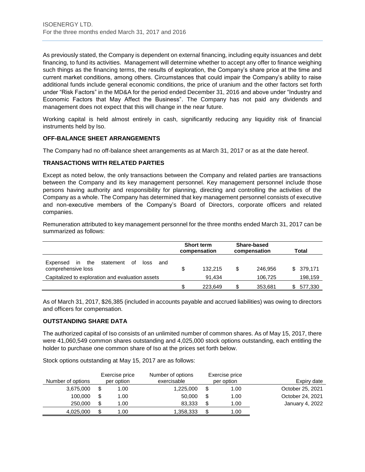As previously stated, the Company is dependent on external financing, including equity issuances and debt financing, to fund its activities. Management will determine whether to accept any offer to finance weighing such things as the financing terms, the results of exploration, the Company's share price at the time and current market conditions, among others. Circumstances that could impair the Company's ability to raise additional funds include general economic conditions, the price of uranium and the other factors set forth under "Risk Factors" in the MD&A for the period ended December 31, 2016 and above under "Industry and Economic Factors that May Affect the Business". The Company has not paid any dividends and management does not expect that this will change in the near future.

Working capital is held almost entirely in cash, significantly reducing any liquidity risk of financial instruments held by Iso.

#### **OFF-BALANCE SHEET ARRANGEMENTS**

The Company had no off-balance sheet arrangements as at March 31, 2017 or as at the date hereof.

#### **TRANSACTIONS WITH RELATED PARTIES**

Except as noted below, the only transactions between the Company and related parties are transactions between the Company and its key management personnel. Key management personnel include those persons having authority and responsibility for planning, directing and controlling the activities of the Company as a whole. The Company has determined that key management personnel consists of executive and non-executive members of the Company's Board of Directors, corporate officers and related companies.

Remuneration attributed to key management personnel for the three months ended March 31, 2017 can be summarized as follows:

|                                                                              | <b>Short term</b><br>compensation |         | Share-based<br>compensation | Total     |
|------------------------------------------------------------------------------|-----------------------------------|---------|-----------------------------|-----------|
| statement<br>in the<br>Expensed<br>. of<br>loss<br>and<br>comprehensive loss | \$                                | 132.215 | \$<br>246.956               | \$379,171 |
| Capitalized to exploration and evaluation assets                             |                                   | 91,434  | 106.725                     | 198,159   |
|                                                                              |                                   | 223.649 | \$<br>353.681               | 577,330   |

As of March 31, 2017, \$26,385 (included in accounts payable and accrued liabilities) was owing to directors and officers for compensation.

#### **OUTSTANDING SHARE DATA**

The authorized capital of Iso consists of an unlimited number of common shares. As of May 15, 2017, there were 41,060,549 common shares outstanding and 4,025,000 stock options outstanding, each entitling the holder to purchase one common share of Iso at the prices set forth below.

|                   |            | Exercise price | Number of options |   | Exercise price |                  |
|-------------------|------------|----------------|-------------------|---|----------------|------------------|
| Number of options | per option |                | exercisable       |   | per option     | Expiry date      |
| 3.675.000         |            | 1.00           | 1,225,000         |   | 1.00           | October 25, 2021 |
| 100.000           |            | 1.00           | 50.000            | S | 1.00           | October 24, 2021 |
| 250,000           |            | 00. ا          | 83.333            |   | 1.00           | January 4, 2022  |
| 4,025,000         |            | 1.00           | 1,358,333         |   | 1.00           |                  |

Stock options outstanding at May 15, 2017 are as follows: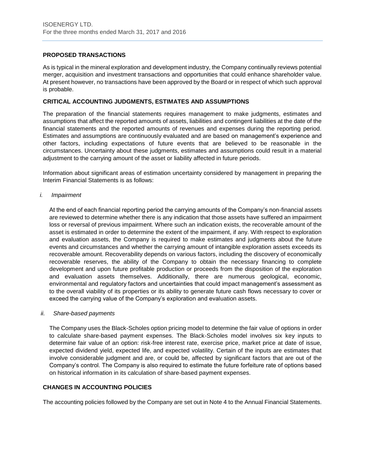#### **PROPOSED TRANSACTIONS**

As is typical in the mineral exploration and development industry, the Company continually reviews potential merger, acquisition and investment transactions and opportunities that could enhance shareholder value. At present however, no transactions have been approved by the Board or in respect of which such approval is probable.

#### **CRITICAL ACCOUNTING JUDGMENTS, ESTIMATES AND ASSUMPTIONS**

The preparation of the financial statements requires management to make judgments, estimates and assumptions that affect the reported amounts of assets, liabilities and contingent liabilities at the date of the financial statements and the reported amounts of revenues and expenses during the reporting period. Estimates and assumptions are continuously evaluated and are based on management's experience and other factors, including expectations of future events that are believed to be reasonable in the circumstances. Uncertainty about these judgments, estimates and assumptions could result in a material adjustment to the carrying amount of the asset or liability affected in future periods.

Information about significant areas of estimation uncertainty considered by management in preparing the Interim Financial Statements is as follows:

*i. Impairment*

At the end of each financial reporting period the carrying amounts of the Company's non-financial assets are reviewed to determine whether there is any indication that those assets have suffered an impairment loss or reversal of previous impairment. Where such an indication exists, the recoverable amount of the asset is estimated in order to determine the extent of the impairment, if any. With respect to exploration and evaluation assets, the Company is required to make estimates and judgments about the future events and circumstances and whether the carrying amount of intangible exploration assets exceeds its recoverable amount. Recoverability depends on various factors, including the discovery of economically recoverable reserves, the ability of the Company to obtain the necessary financing to complete development and upon future profitable production or proceeds from the disposition of the exploration and evaluation assets themselves. Additionally, there are numerous geological, economic, environmental and regulatory factors and uncertainties that could impact management's assessment as to the overall viability of its properties or its ability to generate future cash flows necessary to cover or exceed the carrying value of the Company's exploration and evaluation assets.

#### *ii. Share-based payments*

The Company uses the Black-Scholes option pricing model to determine the fair value of options in order to calculate share-based payment expenses. The Black-Scholes model involves six key inputs to determine fair value of an option: risk-free interest rate, exercise price, market price at date of issue, expected dividend yield, expected life, and expected volatility. Certain of the inputs are estimates that involve considerable judgment and are, or could be, affected by significant factors that are out of the Company's control. The Company is also required to estimate the future forfeiture rate of options based on historical information in its calculation of share-based payment expenses.

#### **CHANGES IN ACCOUNTING POLICIES**

The accounting policies followed by the Company are set out in Note 4 to the Annual Financial Statements.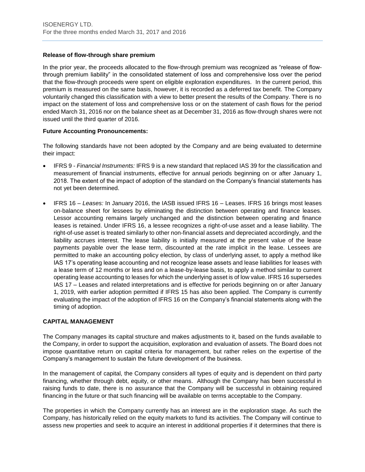#### **Release of flow-through share premium**

In the prior year, the proceeds allocated to the flow-through premium was recognized as "release of flowthrough premium liability" in the consolidated statement of loss and comprehensive loss over the period that the flow-through proceeds were spent on eligible exploration expenditures. In the current period, this premium is measured on the same basis, however, it is recorded as a deferred tax benefit. The Company voluntarily changed this classification with a view to better present the results of the Company. There is no impact on the statement of loss and comprehensive loss or on the statement of cash flows for the period ended March 31, 2016 nor on the balance sheet as at December 31, 2016 as flow-through shares were not issued until the third quarter of 2016.

# **Future Accounting Pronouncements:**

The following standards have not been adopted by the Company and are being evaluated to determine their impact:

- IFRS 9 *Financial Instruments:* IFRS 9 is a new standard that replaced IAS 39 for the classification and measurement of financial instruments, effective for annual periods beginning on or after January 1, 2018. The extent of the impact of adoption of the standard on the Company's financial statements has not yet been determined.
- IFRS 16 *Leases:* In January 2016, the IASB issued IFRS 16 Leases. IFRS 16 brings most leases on-balance sheet for lessees by eliminating the distinction between operating and finance leases. Lessor accounting remains largely unchanged and the distinction between operating and finance leases is retained. Under IFRS 16, a lessee recognizes a right-of-use asset and a lease liability. The right-of-use asset is treated similarly to other non-financial assets and depreciated accordingly, and the liability accrues interest. The lease liability is initially measured at the present value of the lease payments payable over the lease term, discounted at the rate implicit in the lease. Lessees are permitted to make an accounting policy election, by class of underlying asset, to apply a method like IAS 17's operating lease accounting and not recognize lease assets and lease liabilities for leases with a lease term of 12 months or less and on a lease-by-lease basis, to apply a method similar to current operating lease accounting to leases for which the underlying asset is of low value. IFRS 16 supersedes IAS 17 – Leases and related interpretations and is effective for periods beginning on or after January 1, 2019, with earlier adoption permitted if IFRS 15 has also been applied. The Company is currently evaluating the impact of the adoption of IFRS 16 on the Company's financial statements along with the timing of adoption.

# **CAPITAL MANAGEMENT**

The Company manages its capital structure and makes adjustments to it, based on the funds available to the Company, in order to support the acquisition, exploration and evaluation of assets. The Board does not impose quantitative return on capital criteria for management, but rather relies on the expertise of the Company's management to sustain the future development of the business.

In the management of capital, the Company considers all types of equity and is dependent on third party financing, whether through debt, equity, or other means. Although the Company has been successful in raising funds to date, there is no assurance that the Company will be successful in obtaining required financing in the future or that such financing will be available on terms acceptable to the Company.

The properties in which the Company currently has an interest are in the exploration stage. As such the Company, has historically relied on the equity markets to fund its activities. The Company will continue to assess new properties and seek to acquire an interest in additional properties if it determines that there is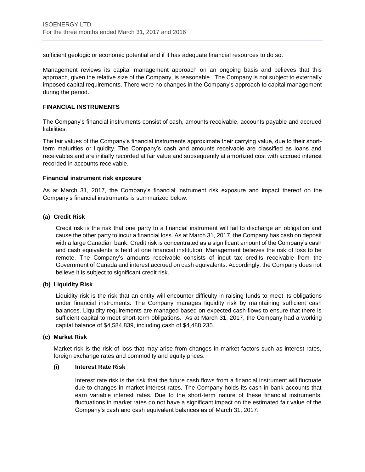sufficient geologic or economic potential and if it has adequate financial resources to do so.

Management reviews its capital management approach on an ongoing basis and believes that this approach, given the relative size of the Company, is reasonable. The Company is not subject to externally imposed capital requirements. There were no changes in the Company's approach to capital management during the period.

#### **FINANCIAL INSTRUMENTS**

The Company's financial instruments consist of cash, amounts receivable, accounts payable and accrued liabilities.

The fair values of the Company's financial instruments approximate their carrying value, due to their shortterm maturities or liquidity. The Company's cash and amounts receivable are classified as loans and receivables and are initially recorded at fair value and subsequently at amortized cost with accrued interest recorded in accounts receivable.

#### **Financial instrument risk exposure**

As at March 31, 2017, the Company's financial instrument risk exposure and impact thereof on the Company's financial instruments is summarized below:

#### **(a) Credit Risk**

Credit risk is the risk that one party to a financial instrument will fail to discharge an obligation and cause the other party to incur a financial loss. As at March 31, 2017, the Company has cash on deposit with a large Canadian bank. Credit risk is concentrated as a significant amount of the Company's cash and cash equivalents is held at one financial institution. Management believes the risk of loss to be remote. The Company's amounts receivable consists of input tax credits receivable from the Government of Canada and interest accrued on cash equivalents. Accordingly, the Company does not believe it is subject to significant credit risk.

#### **(b) Liquidity Risk**

Liquidity risk is the risk that an entity will encounter difficulty in raising funds to meet its obligations under financial instruments. The Company manages liquidity risk by maintaining sufficient cash balances. Liquidity requirements are managed based on expected cash flows to ensure that there is sufficient capital to meet short-term obligations. As at March 31, 2017, the Company had a working capital balance of \$4,584,839, including cash of \$4,488,235.

#### **(c) Market Risk**

Market risk is the risk of loss that may arise from changes in market factors such as interest rates, foreign exchange rates and commodity and equity prices.

#### **(i) Interest Rate Risk**

Interest rate risk is the risk that the future cash flows from a financial instrument will fluctuate due to changes in market interest rates. The Company holds its cash in bank accounts that earn variable interest rates. Due to the short-term nature of these financial instruments, fluctuations in market rates do not have a significant impact on the estimated fair value of the Company's cash and cash equivalent balances as of March 31, 2017.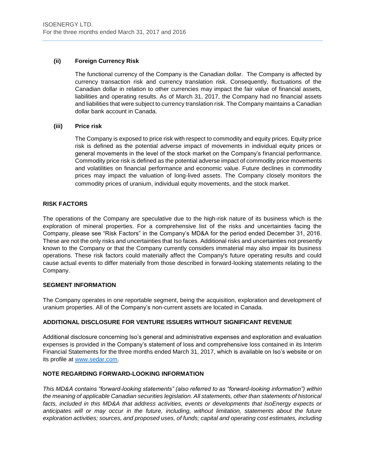# **(ii) Foreign Currency Risk**

The functional currency of the Company is the Canadian dollar. The Company is affected by currency transaction risk and currency translation risk. Consequently, fluctuations of the Canadian dollar in relation to other currencies may impact the fair value of financial assets, liabilities and operating results. As of March 31, 2017, the Company had no financial assets and liabilities that were subject to currency translation risk. The Company maintains a Canadian dollar bank account in Canada.

# **(iii) Price risk**

The Company is exposed to price risk with respect to commodity and equity prices. Equity price risk is defined as the potential adverse impact of movements in individual equity prices or general movements in the level of the stock market on the Company's financial performance. Commodity price risk is defined as the potential adverse impact of commodity price movements and volatilities on financial performance and economic value. Future declines in commodity prices may impact the valuation of long-lived assets. The Company closely monitors the commodity prices of uranium, individual equity movements, and the stock market.

# **RISK FACTORS**

The operations of the Company are speculative due to the high-risk nature of its business which is the exploration of mineral properties. For a comprehensive list of the risks and uncertainties facing the Company, please see "Risk Factors" in the Company's MD&A for the period ended December 31, 2016. These are not the only risks and uncertainties that Iso faces. Additional risks and uncertainties not presently known to the Company or that the Company currently considers immaterial may also impair its business operations. These risk factors could materially affect the Company's future operating results and could cause actual events to differ materially from those described in forward-looking statements relating to the Company.

# **SEGMENT INFORMATION**

The Company operates in one reportable segment, being the acquisition, exploration and development of uranium properties. All of the Company's non-current assets are located in Canada.

# **ADDITIONAL DISCLOSURE FOR VENTURE ISSUERS WITHOUT SIGNIFICANT REVENUE**

Additional disclosure concerning Iso's general and administrative expenses and exploration and evaluation expenses is provided in the Company's statement of loss and comprehensive loss contained in its Interim Financial Statements for the three months ended March 31, 2017, which is available on Iso's website or on its profile at [www.sedar.com.](http://www.sedar.com/)

# **NOTE REGARDING FORWARD-LOOKING INFORMATION**

*This MD&A contains "forward-looking statements" (also referred to as "forward-looking information") within the meaning of applicable Canadian securities legislation. All statements, other than statements of historical facts, included in this MD&A that address activities, events or developments that IsoEnergy expects or anticipates will or may occur in the future, including, without limitation, statements about the future exploration activities; sources, and proposed uses, of funds; capital and operating cost estimates, including*